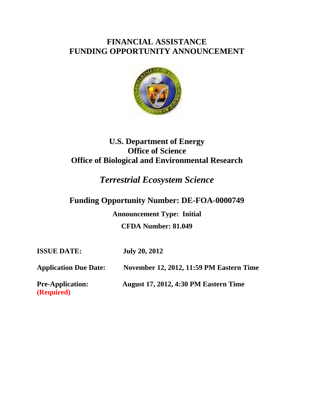# **FINANCIAL ASSISTANCE FUNDING OPPORTUNITY ANNOUNCEMENT**



# **U.S. Department of Energy Office of Science Office of Biological and Environmental Research**

# *Terrestrial Ecosystem Science*

# **Funding Opportunity Number: DE-FOA-0000749**

**Announcement Type: Initial CFDA Number: 81.049** 

**ISSUE DATE: July 20, 2012** 

**Application Due Date: November 12, 2012, 11:59 PM Eastern Time** 

**(Required)** 

**Pre-Application: August 17, 2012, 4:30 PM Eastern Time**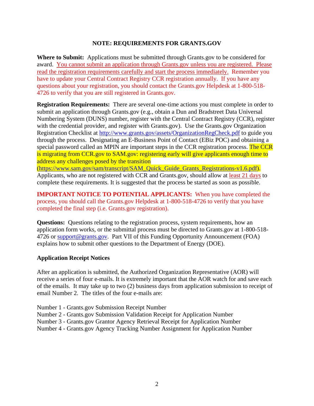#### **NOTE: REQUIREMENTS FOR GRANTS.GOV**

**Where to Submit:** Applications must be submitted through Grants.gov to be considered for award. You cannot submit an application through Grants.gov unless you are registered. Please read the registration requirements carefully and start the process immediately. Remember you have to update your Central Contract Registry CCR registration annually. If you have any questions about your registration, you should contact the Grants.gov Helpdesk at 1-800-518- 4726 to verify that you are still registered in Grants.gov.

**Registration Requirements:** There are several one-time actions you must complete in order to submit an application through Grants.gov (e.g., obtain a Dun and Bradstreet Data Universal Numbering System (DUNS) number, register with the Central Contract Registry (CCR), register with the credential provider, and register with Grants.gov). Use the Grants.gov Organization Registration Checklist at http://www.grants.gov/assets/OrganizationRegCheck.pdf to guide you through the process. Designating an E-Business Point of Contact (EBiz POC) and obtaining a special password called an MPIN are important steps in the CCR registration process. The CCR is migrating from CCR gov to SAM gov: registering early will give applicants enough time to address any challenges posed by the transition

(https://www.sam.gov/sam/transcript/SAM\_Quick\_Guide\_Grants\_Registrations-v1.6.pdf). Applicants, who are not registered with CCR and Grants.gov, should allow at least 21 days to complete these requirements. It is suggested that the process be started as soon as possible.

**IMPORTANT NOTICE TO POTENTIAL APPLICANTS:** When you have completed the process, you should call the Grants.gov Helpdesk at 1-800-518-4726 to verify that you have completed the final step (i.e. Grants.gov registration).

**Questions:** Questions relating to the registration process, system requirements, how an application form works, or the submittal process must be directed to Grants.gov at 1-800-518- 4726 or support@grants.gov. Part VII of this Funding Opportunity Announcement (FOA) explains how to submit other questions to the Department of Energy (DOE).

#### **Application Receipt Notices**

After an application is submitted, the Authorized Organization Representative (AOR) will receive a series of four e-mails. It is extremely important that the AOR watch for and save each of the emails. It may take up to two (2) business days from application submission to receipt of email Number 2. The titles of the four e-mails are:

- Number 1 Grants.gov Submission Receipt Number
- Number 2 Grants.gov Submission Validation Receipt for Application Number
- Number 3 Grants.gov Grantor Agency Retrieval Receipt for Application Number
- Number 4 Grants.gov Agency Tracking Number Assignment for Application Number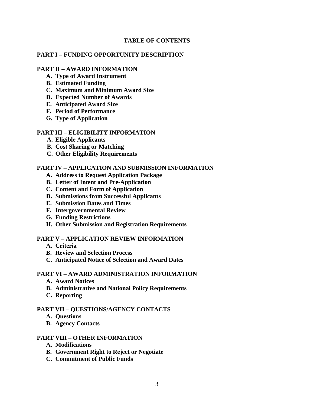#### **TABLE OF CONTENTS**

#### **PART I – FUNDING OPPORTUNITY DESCRIPTION**

#### **PART II – AWARD INFORMATION**

- **A. Type of Award Instrument**
- **B. Estimated Funding**
- **C. Maximum and Minimum Award Size**
- **D. Expected Number of Awards**
- **E. Anticipated Award Size**
- **F. Period of Performance**
- **G. Type of Application**

#### **PART III – ELIGIBILITY INFORMATION**

- **A. Eligible Applicants**
- **B. Cost Sharing or Matching**
- **C. Other Eligibility Requirements**

#### **PART IV – APPLICATION AND SUBMISSION INFORMATION**

- **A. Address to Request Application Package**
- **B. Letter of Intent and Pre-Application**
- **C. Content and Form of Application**
- **D. Submissions from Successful Applicants**
- **E. Submission Dates and Times**
- **F. Intergovernmental Review**
- **G. Funding Restrictions**
- **H. Other Submission and Registration Requirements**

#### **PART V – APPLICATION REVIEW INFORMATION**

- **A. Criteria**
- **B. Review and Selection Process**
- **C. Anticipated Notice of Selection and Award Dates**

#### **PART VI – AWARD ADMINISTRATION INFORMATION**

- **A. Award Notices**
- **B. Administrative and National Policy Requirements**
- **C. Reporting**

#### **PART VII – QUESTIONS/AGENCY CONTACTS**

- **A. Questions**
- **B. Agency Contacts**

#### **PART VIII – OTHER INFORMATION**

- **A. Modifications**
- **B. Government Right to Reject or Negotiate**
- **C. Commitment of Public Funds**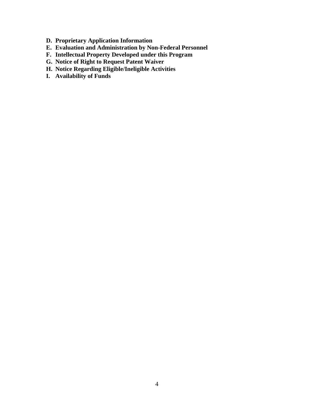- **D. Proprietary Application Information**
- **E. Evaluation and Administration by Non-Federal Personnel**
- **F. Intellectual Property Developed under this Program**
- **G. Notice of Right to Request Patent Waiver**
- **H. Notice Regarding Eligible/Ineligible Activities**
- **I. Availability of Funds**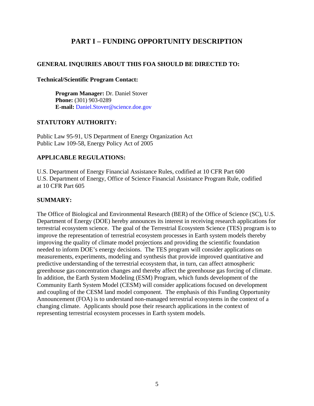# **PART I – FUNDING OPPORTUNITY DESCRIPTION**

# **GENERAL INQUIRIES ABOUT THIS FOA SHOULD BE DIRECTED TO:**

#### **Technical/Scientific Program Contact:**

**Program Manager:** Dr. Daniel Stover **Phone:** (301) 903-0289 **E-mail:** Daniel.Stover@science.doe.gov

# **STATUTORY AUTHORITY:**

Public Law 95-91, US Department of Energy Organization Act Public Law 109-58, Energy Policy Act of 2005

# **APPLICABLE REGULATIONS:**

U.S. Department of Energy Financial Assistance Rules, codified at 10 CFR Part 600 U.S. Department of Energy, Office of Science Financial Assistance Program Rule, codified at 10 CFR Part 605

# **SUMMARY:**

The Office of Biological and Environmental Research (BER) of the Office of Science (SC), U.S. Department of Energy (DOE) hereby announces its interest in receiving research applications for terrestrial ecosystem science. The goal of the Terrestrial Ecosystem Science (TES) program is to improve the representation of terrestrial ecosystem processes in Earth system models thereby improving the quality of climate model projections and providing the scientific foundation needed to inform DOE's energy decisions. The TES program will consider applications on measurements, experiments, modeling and synthesis that provide improved quantitative and predictive understanding of the terrestrial ecosystem that, in turn, can affect atmospheric greenhouse gas concentration changes and thereby affect the greenhouse gas forcing of climate. In addition, the Earth System Modeling (ESM) Program, which funds development of the Community Earth System Model (CESM) will consider applications focused on development and coupling of the CESM land model component. The emphasis of this Funding Opportunity Announcement (FOA) is to understand non-managed terrestrial ecosystems in the context of a changing climate. Applicants should pose their research applications in the context of representing terrestrial ecosystem processes in Earth system models.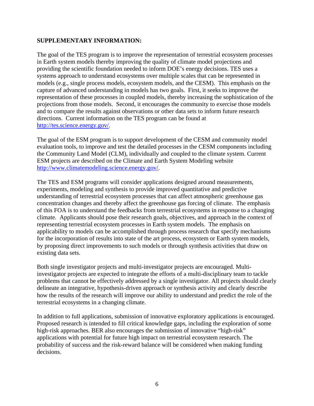### **SUPPLEMENTARY INFORMATION:**

The goal of the TES program is to improve the representation of terrestrial ecosystem processes in Earth system models thereby improving the quality of climate model projections and providing the scientific foundation needed to inform DOE's energy decisions. TES uses a systems approach to understand ecosystems over multiple scales that can be represented in models (e.g., single process models, ecosystem models, and the CESM). This emphasis on the capture of advanced understanding in models has two goals. First, it seeks to improve the representation of these processes in coupled models, thereby increasing the sophistication of the projections from those models. Second, it encourages the community to exercise those models and to compare the results against observations or other data sets to inform future research directions. Current information on the TES program can be found at http://tes.science.energy.gov/.

The goal of the ESM program is to support development of the CESM and community model evaluation tools, to improve and test the detailed processes in the CESM components including the Community Land Model (CLM), individually and coupled to the climate system. Current ESM projects are described on the Climate and Earth System Modeling website http://www.climatemodeling.science.energy.gov/.

The TES and ESM programs will consider applications designed around measurements, experiments, modeling and synthesis to provide improved quantitative and predictive understanding of terrestrial ecosystem processes that can affect atmospheric greenhouse gas concentration changes and thereby affect the greenhouse gas forcing of climate. The emphasis of this FOA is to understand the feedbacks from terrestrial ecosystems in response to a changing climate. Applicants should pose their research goals, objectives, and approach in the context of representing terrestrial ecosystem processes in Earth system models. The emphasis on applicability to models can be accomplished through process research that specify mechanisms for the incorporation of results into state of the art process, ecosystem or Earth system models, by proposing direct improvements to such models or through synthesis activities that draw on existing data sets.

Both single investigator projects and multi-investigator projects are encouraged. Multiinvestigator projects are expected to integrate the efforts of a multi-disciplinary team to tackle problems that cannot be effectively addressed by a single investigator. All projects should clearly delineate an integrative, hypothesis-driven approach or synthesis activity and clearly describe how the results of the research will improve our ability to understand and predict the role of the terrestrial ecosystems in a changing climate.

In addition to full applications, submission of innovative exploratory applications is encouraged. Proposed research is intended to fill critical knowledge gaps, including the exploration of some high-risk approaches. BER also encourages the submission of innovative "high-risk" applications with potential for future high impact on terrestrial ecosystem research. The probability of success and the risk-reward balance will be considered when making funding decisions.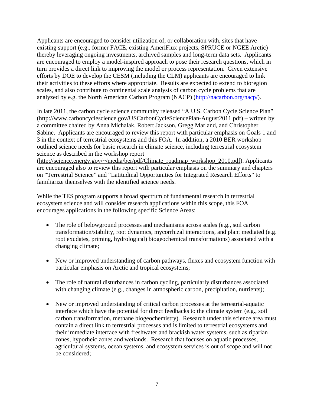Applicants are encouraged to consider utilization of, or collaboration with, sites that have existing support (e.g., former FACE, existing AmeriFlux projects, SPRUCE or NGEE Arctic) thereby leveraging ongoing investments, archived samples and long-term data sets. Applicants are encouraged to employ a model-inspired approach to pose their research questions, which in turn provides a direct link to improving the model or process representation. Given extensive efforts by DOE to develop the CESM (including the CLM) applicants are encouraged to link their activities to these efforts where appropriate. Results are expected to extend to bioregion scales, and also contribute to continental scale analysis of carbon cycle problems that are analyzed by e.g. the North American Carbon Program (NACP) (http://nacarbon.org/nacp/).

In late 2011, the carbon cycle science community released "A U.S. Carbon Cycle Science Plan" (http://www.carboncyclescience.gov/USCarbonCycleSciencePlan-August2011.pdf) – written by a committee chaired by Anna Michalak, Robert Jackson, Gregg Marland, and Christopher Sabine. Applicants are encouraged to review this report with particular emphasis on Goals 1 and 3 in the context of terrestrial ecosystems and this FOA. In addition, a 2010 BER workshop outlined science needs for basic research in climate science, including terrestrial ecosystem science as described in the workshop report

(http://science.energy.gov/~/media/ber/pdf/Climate\_roadmap\_workshop\_2010.pdf). Applicants are encouraged also to review this report with particular emphasis on the summary and chapters on "Terrestrial Science" and "Latitudinal Opportunities for Integrated Research Efforts" to familiarize themselves with the identified science needs.

While the TES program supports a broad spectrum of fundamental research in terrestrial ecosystem science and will consider research applications within this scope, this FOA encourages applications in the following specific Science Areas:

- The role of belowground processes and mechanisms across scales (e.g., soil carbon transformation/stability, root dynamics, mycorrhizal interactions, and plant mediated (e.g. root exudates, priming, hydrological) biogeochemical transformations) associated with a changing climate;
- New or improved understanding of carbon pathways, fluxes and ecosystem function with particular emphasis on Arctic and tropical ecosystems;
- The role of natural disturbances in carbon cycling, particularly disturbances associated with changing climate (e.g., changes in atmospheric carbon, precipitation, nutrients);
- New or improved understanding of critical carbon processes at the terrestrial-aquatic interface which have the potential for direct feedbacks to the climate system (e.g., soil carbon transformation, methane biogeochemistry). Research under this science area must contain a direct link to terrestrial processes and is limited to terrestrial ecosystems and their immediate interface with freshwater and brackish water systems, such as riparian zones, hyporheic zones and wetlands. Research that focuses on aquatic processes, agricultural systems, ocean systems, and ecosystem services is out of scope and will not be considered;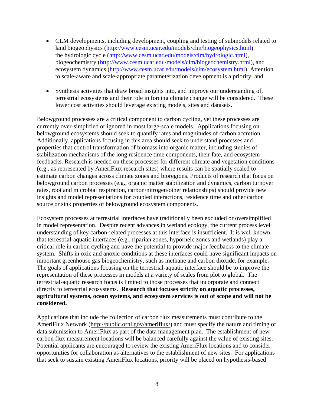- CLM developments, including development, coupling and testing of submodels related to land biogeophysics (http://www.cesm.ucar.edu/models/clm/biogeophysics.html), the hydrologic cycle (http://www.cesm.ucar.edu/models/clm/hydrologic.html), biogeochemistry (http://www.cesm.ucar.edu/models/clm/biogeochemistry.html), and ecosystem dynamics (http://www.cesm.ucar.edu/models/clm/ecosystem.html). Attention to scale-aware and scale-appropriate parameterization development is a priority; and
- Synthesis activities that draw broad insights into, and improve our understanding of, terrestrial ecosystems and their role in forcing climate change will be considered. These lower cost activities should leverage existing models, sites and datasets.

Belowground processes are a critical component to carbon cycling, yet these processes are currently over-simplified or ignored in most large-scale models. Applications focusing on belowground ecosystems should seek to quantify rates and magnitudes of carbon accretion. Additionally, applications focusing in this area should seek to understand processes and properties that control transformation of biomass into organic matter, including studies of stabilization mechanisms of the long residence time components, their fate, and ecosystem feedbacks. Research is needed on these processes for different climate and vegetation conditions (e.g., as represented by AmeriFlux research sites) where results can be spatially scaled to estimate carbon changes across climate zones and bioregions. Products of research that focus on belowground carbon processes (e.g., organic matter stabilization and dynamics, carbon turnover rates, root and microbial respiration, carbon/nitrogen/other relationships) should provide new insights and model representations for coupled interactions, residence time and other carbon source or sink properties of belowground ecosystem components.

Ecosystem processes at terrestrial interfaces have traditionally been excluded or oversimplified in model representation. Despite recent advances in wetland ecology, the current process level understanding of key carbon-related processes at this interface is insufficient. It is well known that terrestrial-aquatic interfaces (e.g., riparian zones, hyporheic zones and wetlands) play a critical role in carbon cycling and have the potential to provide major feedbacks to the climate system. Shifts in oxic and anoxic conditions at these interfaces could have significant impacts on important greenhouse gas biogeochemistry, such as methane and carbon dioxide, for example. The goals of applications focusing on the terrestrial-aquatic interface should be to improve the representation of these processes in models at a variety of scales from plot to global. The terrestrial-aquatic research focus is limited to those processes that incorporate and connect directly to terrestrial ecosystems. **Research that focuses strictly on aquatic processes, agricultural systems, ocean systems, and ecosystem services is out of scope and will not be considered.**

Applications that include the collection of carbon flux measurements must contribute to the AmeriFlux Network (http://public.ornl.gov/ameriflux/) and must specify the nature and timing of data submission to AmeriFlux as part of the data management plan. The establishment of new carbon flux measurement locations will be balanced carefully against the value of existing sites. Potential applicants are encouraged to review the existing AmeriFlux locations and to consider opportunities for collaboration as alternatives to the establishment of new sites. For applications that seek to sustain existing AmeriFlux locations, priority will be placed on hypothesis-based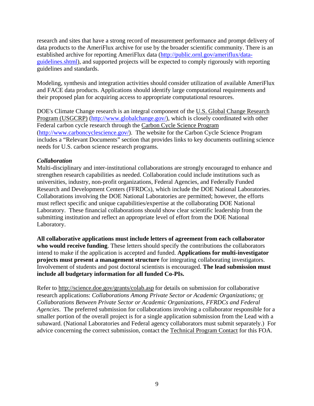research and sites that have a strong record of measurement performance and prompt delivery of data products to the AmeriFlux archive for use by the broader scientific community. There is an established archive for reporting AmeriFlux data (http://public.ornl.gov/ameriflux/dataguidelines.shtml), and supported projects will be expected to comply rigorously with reporting guidelines and standards.

Modeling, synthesis and integration activities should consider utilization of available AmeriFlux and FACE data products. Applications should identify large computational requirements and their proposed plan for acquiring access to appropriate computational resources.

DOE's Climate Change research is an integral component of the U.S. Global Change Research Program (USGCRP) (http://www.globalchange.gov/), which is closely coordinated with other Federal carbon cycle research through the Carbon Cycle Science Program (http://www.carboncyclescience.gov/). The website for the Carbon Cycle Science Program includes a "Relevant Documents" section that provides links to key documents outlining science needs for U.S. carbon science research programs.

#### *Collaboration*

Multi-disciplinary and inter-institutional collaborations are strongly encouraged to enhance and strengthen research capabilities as needed. Collaboration could include institutions such as universities, industry, non-profit organizations, Federal Agencies, and Federally Funded Research and Development Centers (FFRDCs), which include the DOE National Laboratories. Collaborations involving the DOE National Laboratories are permitted; however, the efforts must reflect specific and unique capabilities/expertise at the collaborating DOE National Laboratory. These financial collaborations should show clear scientific leadership from the submitting institution and reflect an appropriate level of effort from the DOE National Laboratory.

**All collaborative applications must include letters of agreement from each collaborator who would receive funding**. These letters should specify the contributions the collaborators intend to make if the application is accepted and funded. **Applications for multi-investigator projects must present a management structure** for integrating collaborating investigators. Involvement of students and post doctoral scientists is encouraged. **The lead submission must include all budgetary information for all funded Co-PIs.**

Refer to http://science.doe.gov/grants/colab.asp for details on submission for collaborative research applications: *Collaborations Among Private Sector or Academic Organizations;* or *Collaborations Between Private Sector or Academic Organizations, FFRDCs and Federal Agencies*. The preferred submission for collaborations involving a collaborator responsible for a smaller portion of the overall project is for a single application submission from the Lead with a subaward. (National Laboratories and Federal agency collaborators must submit separately.) For advice concerning the correct submission, contact the Technical Program Contact for this FOA.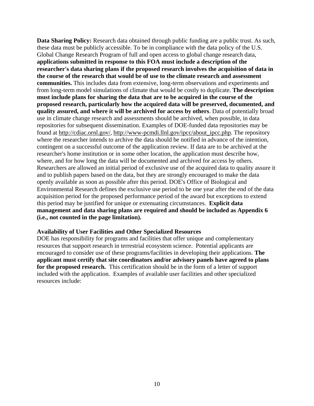**Data Sharing Policy:** Research data obtained through public funding are a public trust. As such, these data must be publicly accessible. To be in compliance with the data policy of the U.S. Global Change Research Program of full and open access to global change research data, **applications submitted in response to this FOA must include a description of the researcher's data sharing plans if the proposed research involves the acquisition of data in the course of the research that would be of use to the climate research and assessment communities.** This includes data from extensive, long-term observations and experiments and from long-term model simulations of climate that would be costly to duplicate. **The description must include plans for sharing the data that are to be acquired in the course of the proposed research, particularly how the acquired data will be preserved, documented, and quality assured, and where it will be archived for access by others**. Data of potentially broad use in climate change research and assessments should be archived, when possible, in data repositories for subsequent dissemination. Examples of DOE-funded data repositories may be found at http://cdiac.ornl.gov/, http://www-pcmdi.llnl.gov/ipcc/about\_ipcc.php. The repository where the researcher intends to archive the data should be notified in advance of the intention, contingent on a successful outcome of the application review. If data are to be archived at the researcher's home institution or in some other location, the application must describe how, where, and for how long the data will be documented and archived for access by others. Researchers are allowed an initial period of exclusive use of the acquired data to quality assure it and to publish papers based on the data, but they are strongly encouraged to make the data openly available as soon as possible after this period. DOE's Office of Biological and Environmental Research defines the exclusive use period to be one year after the end of the data acquisition period for the proposed performance period of the award but exceptions to extend this period may be justified for unique or extenuating circumstances. **Explicit data management and data sharing plans are required and should be included as Appendix 6 (i.e., not counted in the page limitation).** 

#### **Availability of User Facilities and Other Specialized Resources**

DOE has responsibility for programs and facilities that offer unique and complementary resources that support research in terrestrial ecosystem science. Potential applicants are encouraged to consider use of these programs/facilities in developing their applications. **The applicant must certify that site coordinators and/or advisory panels have agreed to plans**  for the proposed research. This certification should be in the form of a letter of support included with the application. Examples of available user facilities and other specialized resources include: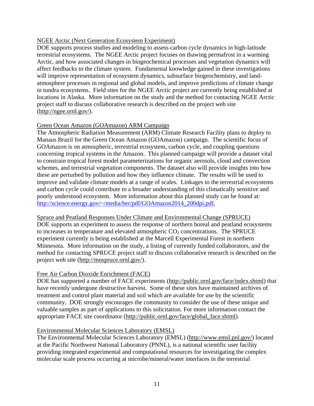## NGEE Arctic (Next Generation Ecosystem Experiment)

DOE supports process studies and modeling to assess carbon cycle dynamics in high-latitude terrestrial ecosystems. The NGEE Arctic project focuses on thawing permafrost in a warming Arctic, and how associated changes in biogeochemical processes and vegetation dynamics will affect feedbacks to the climate system. Fundamental knowledge gained in these investigations will improve representation of ecosystem dynamics, subsurface biogeochemistry, and landatmosphere processes in regional and global models, and improve predictions of climate change in tundra ecosystems. Field sites for the NGEE Arctic project are currently being established at locations in Alaska. More information on the study and the method for contacting NGEE Arctic project staff to discuss collaborative research is described on the project web site (http://ngee.ornl.gov/).

#### Green Ocean Amazon (GOAmazon) ARM Campaign

The Atmospheric Radiation Measurement (ARM) Climate Research Facility plans to deploy to Manaus Brazil for the Green Ocean Amazon (GOAmazon) campaign. The scientific focus of GOAmazon is on atmospheric, terrestrial ecosystem, carbon cycle, and coupling questions concerning tropical systems in the Amazon. This planned campaign will provide a dataset vital to constrain tropical forest model parameterizations for organic aerosols, cloud and convection schemes, and terrestrial vegetation components. The dataset also will provide insights into how these are perturbed by pollution and how they influence climate. The results will be used to improve and validate climate models at a range of scales. Linkages to the terrestrial ecosystems and carbon cycle could contribute to a broader understanding of this climatically sensitive and poorly understood ecosystem. More information about this planned study can be found at: http://science.energy.gov/~/media/ber/pdf/GOAmazon2014\_200dpi.pdf.

Spruce and Peatland Responses Under Climate and Environmental Change (SPRUCE) DOE supports an experiment to assess the response of northern boreal and peatland ecosystems to increases in temperature and elevated atmospheric  $CO<sub>2</sub>$  concentrations. The SPRUCE experiment currently is being established at the Marcell Experimental Forest in northern Minnesota. More information on the study, a listing of currently funded collaborators, and the method for contacting SPRUCE project staff to discuss collaborative research is described on the project web site (http://mnspruce.ornl.gov/).

#### Free Air Carbon Dioxide Enrichment (FACE)

DOE has supported a number of FACE experiments (http://public.ornl.gov/face/index.shtml) that have recently undergone destructive harvest. Some of these sites have maintained archives of treatment and control plant material and soil which are available for use by the scientific community. DOE strongly encourages the community to consider the use of these unique and valuable samples as part of applications to this solicitation. For more information contact the appropriate FACE site coordinator (http://public.ornl.gov/face/global\_face.shtml).

#### Environmental Molecular Sciences Laboratory (EMSL)

The Environmental Molecular Sciences Laboratory (EMSL) (http://www.emsl.pnl.gov/) located at the Pacific Northwest National Laboratory (PNNL), is a national scientific user facility providing integrated experimental and computational resources for investigating the complex molecular scale process occurring at microbe/mineral/water interfaces in the terrestrial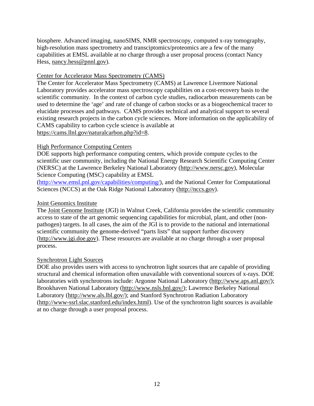biosphere. Advanced imaging, nanoSIMS, NMR spectroscopy, computed x-ray tomography, high-resolution mass spectrometry and transciptomics/proteomics are a few of the many capabilities at EMSL available at no charge through a user proposal process (contact Nancy Hess, nancy.hess@pnnl.gov).

#### Center for Accelerator Mass Spectrometry (CAMS)

The Center for Accelerator Mass Spectrometry (CAMS) at Lawrence Livermore National Laboratory provides accelerator mass spectroscopy capabilities on a cost-recovery basis to the scientific community. In the context of carbon cycle studies, radiocarbon measurements can be used to determine the 'age' and rate of change of carbon stocks or as a biogeochemical tracer to elucidate processes and pathways. CAMS provides technical and analytical support to several existing research projects in the carbon cycle sciences. More information on the applicability of CAMS capability to carbon cycle science is available at https://cams.llnl.gov/naturalcarbon.php?id=8.

#### High Performance Computing Centers

DOE supports high performance computing centers, which provide compute cycles to the scientific user community, including the National Energy Research Scientific Computing Center (NERSC) at the Lawrence Berkeley National Laboratory (http://www.nersc.gov), Molecular Science Computing (MSC) capability at EMSL

(http://www.emsl.pnl.gov/capabilities/computing/), and the National Center for Computational Sciences (NCCS) at the Oak Ridge National Laboratory (http://nccs.gov).

## Joint Genomics Institute

The Joint Genome Institute (JGI) in Walnut Creek, California provides the scientific community access to state of the art genomic sequencing capabilities for microbial, plant, and other (nonpathogen) targets. In all cases, the aim of the JGI is to provide to the national and international scientific community the genome-derived "parts lists" that support further discovery (http://www.jgi.doe.gov). These resources are available at no charge through a user proposal process.

#### Synchrotron Light Sources

DOE also provides users with access to synchrotron light sources that are capable of providing structural and chemical information often unavailable with conventional sources of x-rays. DOE laboratories with synchrotrons include: Argonne National Laboratory (http://www.aps.anl.gov/); Brookhaven National Laboratory (http://www.nsls.bnl.gov/); Lawrence Berkeley National Laboratory (http://www.als.lbl.gov/); and Stanford Synchrotron Radiation Laboratory (http://www-ssrl.slac.stanford.edu/index.html). Use of the synchrotron light sources is available at no charge through a user proposal process.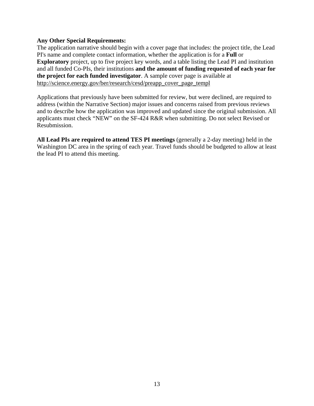#### **Any Other Special Requirements:**

The application narrative should begin with a cover page that includes: the project title, the Lead PI's name and complete contact information, whether the application is for a **Full** or **Exploratory** project, up to five project key words, and a table listing the Lead PI and institution and all funded Co-PIs, their institutions **and the amount of funding requested of each year for the project for each funded investigator**. A sample cover page is available at http://science.energy.gov/ber/research/cesd/preapp\_cover\_page\_templ

Applications that previously have been submitted for review, but were declined, are required to address (within the Narrative Section) major issues and concerns raised from previous reviews and to describe how the application was improved and updated since the original submission. All applicants must check "NEW" on the SF-424 R&R when submitting. Do not select Revised or Resubmission.

**All Lead PIs are required to attend TES PI meetings** (generally a 2-day meeting) held in the Washington DC area in the spring of each year. Travel funds should be budgeted to allow at least the lead PI to attend this meeting.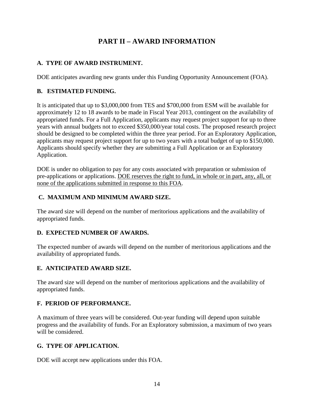# **PART II – AWARD INFORMATION**

# **A. TYPE OF AWARD INSTRUMENT.**

DOE anticipates awarding new grants under this Funding Opportunity Announcement (FOA).

# **B. ESTIMATED FUNDING.**

It is anticipated that up to \$3,000,000 from TES and \$700,000 from ESM will be available for approximately 12 to 18 awards to be made in Fiscal Year 2013, contingent on the availability of appropriated funds. For a Full Application, applicants may request project support for up to three years with annual budgets not to exceed \$350,000/year total costs. The proposed research project should be designed to be completed within the three year period. For an Exploratory Application, applicants may request project support for up to two years with a total budget of up to \$150,000. Applicants should specify whether they are submitting a Full Application or an Exploratory Application.

DOE is under no obligation to pay for any costs associated with preparation or submission of pre-applications or applications. DOE reserves the right to fund, in whole or in part, any, all, or none of the applications submitted in response to this FOA.

# **C. MAXIMUM AND MINIMUM AWARD SIZE.**

The award size will depend on the number of meritorious applications and the availability of appropriated funds.

# **D. EXPECTED NUMBER OF AWARDS.**

The expected number of awards will depend on the number of meritorious applications and the availability of appropriated funds.

# **E. ANTICIPATED AWARD SIZE.**

The award size will depend on the number of meritorious applications and the availability of appropriated funds.

# **F. PERIOD OF PERFORMANCE.**

A maximum of three years will be considered. Out-year funding will depend upon suitable progress and the availability of funds. For an Exploratory submission, a maximum of two years will be considered.

# **G. TYPE OF APPLICATION.**

DOE will accept new applications under this FOA.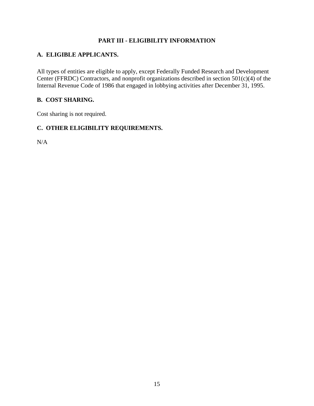# **PART III - ELIGIBILITY INFORMATION**

# **A. ELIGIBLE APPLICANTS.**

All types of entities are eligible to apply, except Federally Funded Research and Development Center (FFRDC) Contractors, and nonprofit organizations described in section  $501(c)(4)$  of the Internal Revenue Code of 1986 that engaged in lobbying activities after December 31, 1995.

# **B. COST SHARING.**

Cost sharing is not required.

# **C. OTHER ELIGIBILITY REQUIREMENTS.**

N/A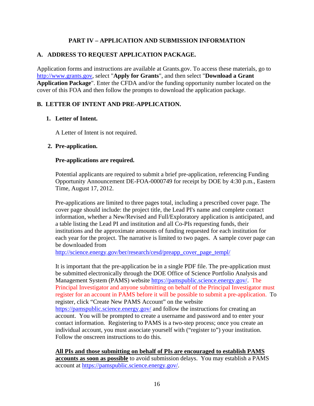# **PART IV – APPLICATION AND SUBMISSION INFORMATION**

# **A. ADDRESS TO REQUEST APPLICATION PACKAGE.**

Application forms and instructions are available at Grants.gov. To access these materials, go to http://www.grants.gov, select "**Apply for Grants**", and then select "**Download a Grant Application Package**". Enter the CFDA and/or the funding opportunity number located on the cover of this FOA and then follow the prompts to download the application package.

# **B. LETTER OF INTENT AND PRE-APPLICATION.**

# **1. Letter of Intent.**

A Letter of Intent is not required.

#### **2. Pre-application.**

#### **Pre-applications are required.**

Potential applicants are required to submit a brief pre-application, referencing Funding Opportunity Announcement DE-FOA-0000749 for receipt by DOE by 4:30 p.m., Eastern Time, August 17, 2012.

Pre-applications are limited to three pages total, including a prescribed cover page. The cover page should include: the project title, the Lead PI's name and complete contact information, whether a New/Revised and Full/Exploratory application is anticipated, and a table listing the Lead PI and institution and all Co-PIs requesting funds, their institutions and the approximate amounts of funding requested for each institution for each year for the project. The narrative is limited to two pages. A sample cover page can be downloaded from

http://science.energy.gov/ber/research/cesd/preapp\_cover\_page\_templ/

It is important that the pre-application be in a single PDF file. The pre-application must be submitted electronically through the DOE Office of Science Portfolio Analysis and Management System (PAMS) website https://pamspublic.science.energy.gov/. The Principal Investigator and anyone submitting on behalf of the Principal Investigator must register for an account in PAMS before it will be possible to submit a pre-application. To register, click "Create New PAMS Account" on the website https://pamspublic.science.energy.gov/ and follow the instructions for creating an account. You will be prompted to create a username and password and to enter your contact information. Registering to PAMS is a two-step process; once you create an individual account, you must associate yourself with ("register to") your institution. Follow the onscreen instructions to do this.

**All PIs and those submitting on behalf of PIs are encouraged to establish PAMS accounts as soon as possible** to avoid submission delays. You may establish a PAMS account at https://pamspublic.science.energy.gov/.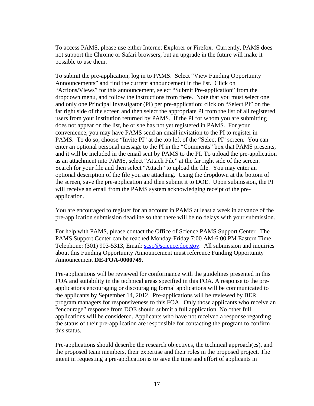To access PAMS, please use either Internet Explorer or Firefox. Currently, PAMS does not support the Chrome or Safari browsers, but an upgrade in the future will make it possible to use them.

To submit the pre-application, log in to PAMS. Select "View Funding Opportunity Announcements" and find the current announcement in the list. Click on "Actions/Views" for this announcement, select "Submit Pre-application" from the dropdown menu, and follow the instructions from there. Note that you must select one and only one Principal Investigator (PI) per pre-application; click on "Select PI" on the far right side of the screen and then select the appropriate PI from the list of all registered users from your institution returned by PAMS. If the PI for whom you are submitting does not appear on the list, he or she has not yet registered in PAMS. For your convenience, you may have PAMS send an email invitation to the PI to register in PAMS. To do so, choose "Invite PI" at the top left of the "Select PI" screen. You can enter an optional personal message to the PI in the "Comments" box that PAMS presents, and it will be included in the email sent by PAMS to the PI. To upload the pre-application as an attachment into PAMS, select "Attach File" at the far right side of the screen. Search for your file and then select "Attach" to upload the file. You may enter an optional description of the file you are attaching. Using the dropdown at the bottom of the screen, save the pre-application and then submit it to DOE. Upon submission, the PI will receive an email from the PAMS system acknowledging receipt of the preapplication.

You are encouraged to register for an account in PAMS at least a week in advance of the pre-application submission deadline so that there will be no delays with your submission.

For help with PAMS, please contact the Office of Science PAMS Support Center. The PAMS Support Center can be reached Monday-Friday 7:00 AM-6:00 PM Eastern Time. Telephone: (301) 903-5313, Email: scsc@science.doe.gov. All submission and inquiries about this Funding Opportunity Announcement must reference Funding Opportunity Announcement **DE-FOA-0000749.**

Pre-applications will be reviewed for conformance with the guidelines presented in this FOA and suitability in the technical areas specified in this FOA. A response to the preapplications encouraging or discouraging formal applications will be communicated to the applicants by September 14, 2012. Pre-applications will be reviewed by BER program managers for responsiveness to this FOA. Only those applicants who receive an "encourage" response from DOE should submit a full application. No other full applications will be considered. Applicants who have not received a response regarding the status of their pre-application are responsible for contacting the program to confirm this status.

Pre-applications should describe the research objectives, the technical approach(es), and the proposed team members, their expertise and their roles in the proposed project. The intent in requesting a pre-application is to save the time and effort of applicants in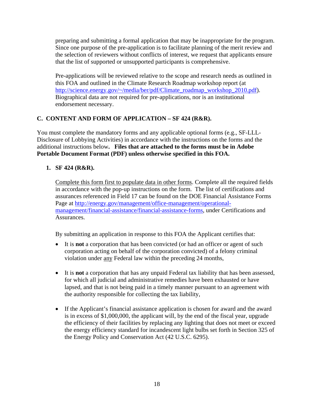preparing and submitting a formal application that may be inappropriate for the program. Since one purpose of the pre-application is to facilitate planning of the merit review and the selection of reviewers without conflicts of interest, we request that applicants ensure that the list of supported or unsupported participants is comprehensive.

Pre-applications will be reviewed relative to the scope and research needs as outlined in this FOA and outlined in the Climate Research Roadmap workshop report (at http://science.energy.gov/~/media/ber/pdf/Climate\_roadmap\_workshop\_2010.pdf). Biographical data are not required for pre-applications, nor is an institutional endorsement necessary.

# **C. CONTENT AND FORM OF APPLICATION – SF 424 (R&R).**

You must complete the mandatory forms and any applicable optional forms (e.g., SF-LLL-Disclosure of Lobbying Activities) in accordance with the instructions on the forms and the additional instructions below**. Files that are attached to the forms must be in Adobe Portable Document Format (PDF) unless otherwise specified in this FOA.**

# **1. SF 424 (R&R).**

Complete this form first to populate data in other forms. Complete all the required fields in accordance with the pop-up instructions on the form. The list of certifications and assurances referenced in Field 17 can be found on the DOE Financial Assistance Forms Page at http://energy.gov/management/office-management/operationalmanagement/financial-assistance/financial-assistance-forms, under Certifications and Assurances.

By submitting an application in response to this FOA the Applicant certifies that:

- It is **not** a corporation that has been convicted (or had an officer or agent of such corporation acting on behalf of the corporation convicted) of a felony criminal violation under any Federal law within the preceding 24 months,
- It is **not** a corporation that has any unpaid Federal tax liability that has been assessed, for which all judicial and administrative remedies have been exhausted or have lapsed, and that is not being paid in a timely manner pursuant to an agreement with the authority responsible for collecting the tax liability,
- If the Applicant's financial assistance application is chosen for award and the award is in excess of \$1,000,000, the applicant will, by the end of the fiscal year, upgrade the efficiency of their facilities by replacing any lighting that does not meet or exceed the energy efficiency standard for incandescent light bulbs set forth in Section 325 of the Energy Policy and Conservation Act (42 U.S.C. 6295).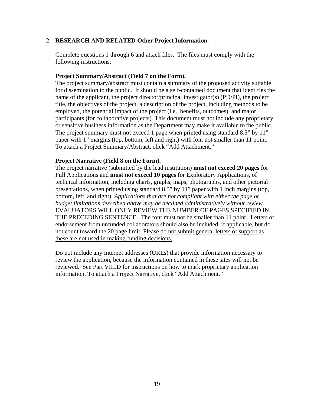#### **2. RESEARCH AND RELATED Other Project Information.**

Complete questions 1 through 6 and attach files. The files must comply with the following instructions:

#### **Project Summary/Abstract (Field 7 on the Form).**

The project summary/abstract must contain a summary of the proposed activity suitable for dissemination to the public. It should be a self-contained document that identifies the name of the applicant, the project director/principal investigator(s) (PD/PI), the project title, the objectives of the project, a description of the project, including methods to be employed, the potential impact of the project (i.e., benefits, outcomes), and major participants (for collaborative projects). This document must not include any proprietary or sensitive business information as the Department may make it available to the public. The project summary must not exceed 1 page when printed using standard 8.5" by 11" paper with 1" margins (top, bottom, left and right) with font not smaller than 11 point. To attach a Project Summary/Abstract, click "Add Attachment."

#### **Project Narrative (Field 8 on the Form).**

The project narrative (submitted by the lead institution) **must not exceed 20 pages** for Full Applications and **must not exceed 10 pages** for Exploratory Applications, of technical information, including charts, graphs, maps, photographs, and other pictorial presentations, when printed using standard 8.5" by 11" paper with 1 inch margins (top, bottom, left, and right). *Applications that are not compliant with either the page or budget limitations described above may be declined administratively without review.* EVALUATORS WILL ONLY REVIEW THE NUMBER OF PAGES SPECIFIED IN THE PRECEDING SENTENCE. The font must not be smaller than 11 point. Letters of endorsement from unfunded collaborators should also be included, if applicable, but do not count toward the 20 page limit. Please do not submit general letters of support as these are not used in making funding decisions.

Do not include any Internet addresses (URLs) that provide information necessary to review the application, because the information contained in these sites will not be reviewed. See Part VIII.D for instructions on how to mark proprietary application information. To attach a Project Narrative, click "Add Attachment."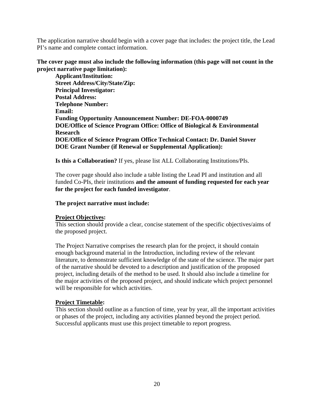The application narrative should begin with a cover page that includes: the project title, the Lead PI's name and complete contact information.

**The cover page must also include the following information (this page will not count in the project narrative page limitation):** 

**Applicant/Institution: Street Address/City/State/Zip: Principal Investigator: Postal Address: Telephone Number: Email: Funding Opportunity Announcement Number: DE-FOA-0000749 DOE/Office of Science Program Office: Office of Biological & Environmental Research DOE/Office of Science Program Office Technical Contact: Dr. Daniel Stover DOE Grant Number (if Renewal or Supplemental Application):** 

**Is this a Collaboration?** If yes, please list ALL Collaborating Institutions/PIs.

The cover page should also include a table listing the Lead PI and institution and all funded Co-PIs, their institutions **and the amount of funding requested for each year for the project for each funded investigator**.

**The project narrative must include:** 

#### **Project Objectives:**

This section should provide a clear, concise statement of the specific objectives/aims of the proposed project.

The Project Narrative comprises the research plan for the project, it should contain enough background material in the Introduction, including review of the relevant literature, to demonstrate sufficient knowledge of the state of the science. The major part of the narrative should be devoted to a description and justification of the proposed project, including details of the method to be used. It should also include a timeline for the major activities of the proposed project, and should indicate which project personnel will be responsible for which activities.

#### **Project Timetable:**

This section should outline as a function of time, year by year, all the important activities or phases of the project, including any activities planned beyond the project period. Successful applicants must use this project timetable to report progress.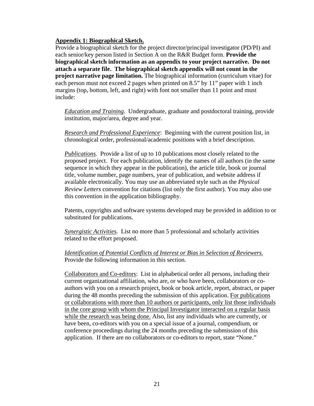#### **Appendix 1: Biographical Sketch.**

Provide a biographical sketch for the project director/principal investigator (PD/PI) and each senior/key person listed in Section A on the R&R Budget form. **Provide the biographical sketch information as an appendix to your project narrative. Do not attach a separate file. The biographical sketch appendix will not count in the project narrative page limitation.** The biographical information (curriculum vitae) for each person must not exceed 2 pages when printed on 8.5" by 11" paper with 1 inch margins (top, bottom, left, and right) with font not smaller than 11 point and must include:

*Education and Training*. Undergraduate, graduate and postdoctoral training, provide institution, major/area, degree and year.

*Research and Professional Experience*: Beginning with the current position list, in chronological order, professional/academic positions with a brief description.

*Publications*. Provide a list of up to 10 publications most closely related to the proposed project. For each publication, identify the names of all authors (in the same sequence in which they appear in the publication), the article title, book or journal title, volume number, page numbers, year of publication, and website address if available electronically. You may use an abbreviated style such as the *Physical Review Letters* convention for citations (list only the first author). You may also use this convention in the application bibliography.

Patents, copyrights and software systems developed may be provided in addition to or substituted for publications.

*Synergistic Activities*. List no more than 5 professional and scholarly activities related to the effort proposed.

*Identification of Potential Conflicts of Interest or Bias in Selection of Reviewers.* Provide the following information in this section.

Collaborators and Co-editors: List in alphabetical order all persons, including their current organizational affiliation, who are, or who have been, collaborators or coauthors with you on a research project, book or book article, report, abstract, or paper during the 48 months preceding the submission of this application. For publications or collaborations with more than 10 authors or participants, only list those individuals in the core group with whom the Principal Investigator interacted on a regular basis while the research was being done. Also, list any individuals who are currently, or have been, co-editors with you on a special issue of a journal, compendium, or conference proceedings during the 24 months preceding the submission of this application. If there are no collaborators or co-editors to report, state "None."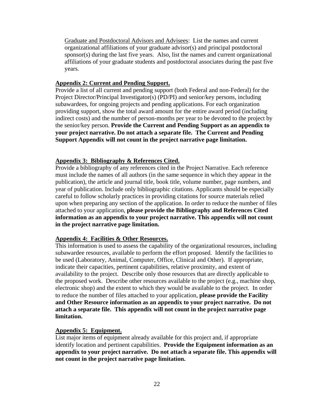Graduate and Postdoctoral Advisors and Advisees: List the names and current organizational affiliations of your graduate advisor(s) and principal postdoctoral sponsor(s) during the last five years. Also, list the names and current organizational affiliations of your graduate students and postdoctoral associates during the past five years.

#### **Appendix 2: Current and Pending Support.**

Provide a list of all current and pending support (both Federal and non-Federal) for the Project Director/Principal Investigator(s) (PD/PI) and senior/key persons, including subawardees, for ongoing projects and pending applications. For each organization providing support, show the total award amount for the entire award period (including indirect costs) and the number of person-months per year to be devoted to the project by the senior/key person. **Provide the Current and Pending Support as an appendix to your project narrative. Do not attach a separate file. The Current and Pending Support Appendix will not count in the project narrative page limitation.**

#### **Appendix 3: Bibliography & References Cited.**

Provide a bibliography of any references cited in the Project Narrative. Each reference must include the names of all authors (in the same sequence in which they appear in the publication), the article and journal title, book title, volume number, page numbers, and year of publication. Include only bibliographic citations. Applicants should be especially careful to follow scholarly practices in providing citations for source materials relied upon when preparing any section of the application. In order to reduce the number of files attached to your application, **please provide the Bibliography and References Cited information as an appendix to your project narrative. This appendix will not count in the project narrative page limitation.** 

# **Appendix 4: Facilities & Other Resources.**

This information is used to assess the capability of the organizational resources, including subawardee resources, available to perform the effort proposed. Identify the facilities to be used (Laboratory, Animal, Computer, Office, Clinical and Other). If appropriate, indicate their capacities, pertinent capabilities, relative proximity, and extent of availability to the project. Describe only those resources that are directly applicable to the proposed work. Describe other resources available to the project (e.g., machine shop, electronic shop) and the extent to which they would be available to the project. In order to reduce the number of files attached to your application, **please provide the Facility and Other Resource information as an appendix to your project narrative. Do not attach a separate file. This appendix will not count in the project narrative page limitation.** 

#### **Appendix 5: Equipment.**

List major items of equipment already available for this project and, if appropriate identify location and pertinent capabilities. **Provide the Equipment information as an appendix to your project narrative. Do not attach a separate file. This appendix will not count in the project narrative page limitation.**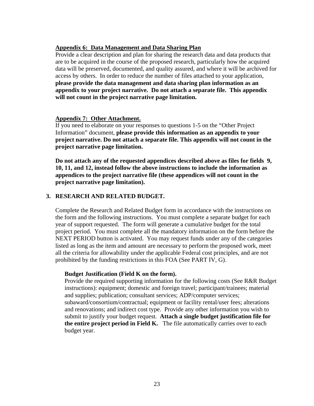## **Appendix 6: Data Management and Data Sharing Plan**

Provide a clear description and plan for sharing the research data and data products that are to be acquired in the course of the proposed research, particularly how the acquired data will be preserved, documented, and quality assured, and where it will be archived for access by others. In order to reduce the number of files attached to your application, **please provide the data management and data sharing plan information as an appendix to your project narrative. Do not attach a separate file. This appendix will not count in the project narrative page limitation.** 

#### **Appendix 7: Other Attachment.**

If you need to elaborate on your responses to questions 1-5 on the "Other Project Information" document, **please provide this information as an appendix to your project narrative. Do not attach a separate file. This appendix will not count in the project narrative page limitation.** 

**Do not attach any of the requested appendices described above as files for fields 9, 10, 11, and 12, instead follow the above instructions to include the information as appendices to the project narrative file (these appendices will not count in the project narrative page limitation).** 

#### **3. RESEARCH AND RELATED BUDGET.**

Complete the Research and Related Budget form in accordance with the instructions on the form and the following instructions. You must complete a separate budget for each year of support requested. The form will generate a cumulative budget for the total project period. You must complete all the mandatory information on the form before the NEXT PERIOD button is activated. You may request funds under any of the categories listed as long as the item and amount are necessary to perform the proposed work, meet all the criteria for allowability under the applicable Federal cost principles, and are not prohibited by the funding restrictions in this FOA (See PART IV, G).

#### **Budget Justification (Field K on the form).**

Provide the required supporting information for the following costs (See R&R Budget instructions): equipment; domestic and foreign travel; participant/trainees; material and supplies; publication; consultant services; ADP/computer services; subaward/consortium/contractual; equipment or facility rental/user fees; alterations and renovations; and indirect cost type. Provide any other information you wish to submit to justify your budget request. **Attach a single budget justification file for the entire project period in Field K.** The file automatically carries over to each budget year.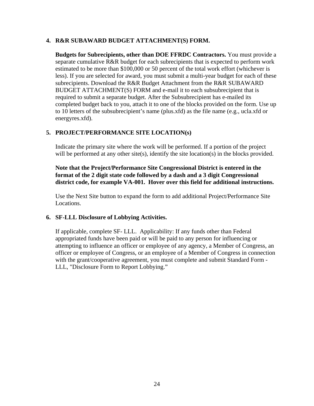### **4. R&R SUBAWARD BUDGET ATTACHMENT(S) FORM.**

**Budgets for Subrecipients, other than DOE FFRDC Contractors.** You must provide a separate cumulative R&R budget for each subrecipients that is expected to perform work estimated to be more than \$100,000 or 50 percent of the total work effort (whichever is less). If you are selected for award, you must submit a multi-year budget for each of these subrecipients. Download the R&R Budget Attachment from the R&R SUBAWARD BUDGET ATTACHMENT(S) FORM and e-mail it to each subsubrecipient that is required to submit a separate budget. After the Subsubrecipient has e-mailed its completed budget back to you, attach it to one of the blocks provided on the form. Use up to 10 letters of the subsubrecipient's name (plus.xfd) as the file name (e.g., ucla.xfd or energyres.xfd).

# **5. PROJECT/PERFORMANCE SITE LOCATION(s)**

Indicate the primary site where the work will be performed. If a portion of the project will be performed at any other site(s), identify the site location(s) in the blocks provided.

**Note that the Project/Performance Site Congressional District is entered in the format of the 2 digit state code followed by a dash and a 3 digit Congressional district code, for example VA-001. Hover over this field for additional instructions.** 

Use the Next Site button to expand the form to add additional Project/Performance Site Locations.

# **6. SF-LLL Disclosure of Lobbying Activities.**

If applicable, complete SF- LLL. Applicability: If any funds other than Federal appropriated funds have been paid or will be paid to any person for influencing or attempting to influence an officer or employee of any agency, a Member of Congress, an officer or employee of Congress, or an employee of a Member of Congress in connection with the grant/cooperative agreement, you must complete and submit Standard Form - LLL, "Disclosure Form to Report Lobbying."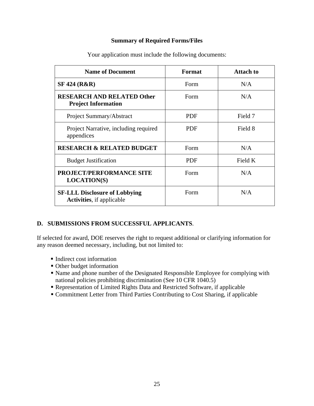#### **Summary of Required Forms/Files**

| <b>Name of Document</b>                                                   | Format     | <b>Attach to</b> |
|---------------------------------------------------------------------------|------------|------------------|
| <b>SF 424 (R&amp;R)</b>                                                   | Form       | N/A              |
| <b>RESEARCH AND RELATED Other</b><br><b>Project Information</b>           | Form       | N/A              |
| Project Summary/Abstract                                                  | <b>PDF</b> | Field 7          |
| Project Narrative, including required<br>appendices                       | <b>PDF</b> | Field 8          |
| <b>RESEARCH &amp; RELATED BUDGET</b>                                      | Form       | N/A              |
| <b>Budget Justification</b>                                               | <b>PDF</b> | Field K          |
| <b>PROJECT/PERFORMANCE SITE</b><br><b>LOCATION(S)</b>                     | Form       | N/A              |
| <b>SF-LLL Disclosure of Lobbying</b><br><b>Activities</b> , if applicable | Form       | N/A              |

Your application must include the following documents:

# **D. SUBMISSIONS FROM SUCCESSFUL APPLICANTS**.

If selected for award, DOE reserves the right to request additional or clarifying information for any reason deemed necessary, including, but not limited to:

- Indirect cost information
- Other budget information
- Name and phone number of the Designated Responsible Employee for complying with national policies prohibiting discrimination (See 10 CFR 1040.5)
- Representation of Limited Rights Data and Restricted Software, if applicable
- Commitment Letter from Third Parties Contributing to Cost Sharing, if applicable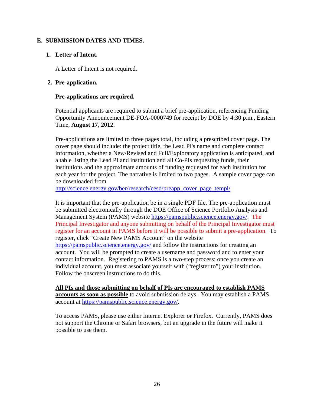# **E. SUBMISSION DATES AND TIMES.**

## **1. Letter of Intent.**

A Letter of Intent is not required.

#### **2. Pre-application.**

#### **Pre-applications are required.**

Potential applicants are required to submit a brief pre-application, referencing Funding Opportunity Announcement DE-FOA-0000749 for receipt by DOE by 4:30 p.m., Eastern Time, **August 17, 2012**.

Pre-applications are limited to three pages total, including a prescribed cover page. The cover page should include: the project title, the Lead PI's name and complete contact information, whether a New/Revised and Full/Exploratory application is anticipated, and a table listing the Lead PI and institution and all Co-PIs requesting funds, their institutions and the approximate amounts of funding requested for each institution for each year for the project. The narrative is limited to two pages. A sample cover page can be downloaded from

http://science.energy.gov/ber/research/cesd/preapp\_cover\_page\_templ/

It is important that the pre-application be in a single PDF file. The pre-application must be submitted electronically through the DOE Office of Science Portfolio Analysis and Management System (PAMS) website https://pamspublic.science.energy.gov/. The Principal Investigator and anyone submitting on behalf of the Principal Investigator must register for an account in PAMS before it will be possible to submit a pre-application. To register, click "Create New PAMS Account" on the website https://pamspublic.science.energy.gov/ and follow the instructions for creating an account. You will be prompted to create a username and password and to enter your contact information. Registering to PAMS is a two-step process; once you create an individual account, you must associate yourself with ("register to") your institution. Follow the onscreen instructions to do this.

**All PIs and those submitting on behalf of PIs are encouraged to establish PAMS accounts as soon as possible** to avoid submission delays. You may establish a PAMS account at https://pamspublic.science.energy.gov/.

To access PAMS, please use either Internet Explorer or Firefox. Currently, PAMS does not support the Chrome or Safari browsers, but an upgrade in the future will make it possible to use them.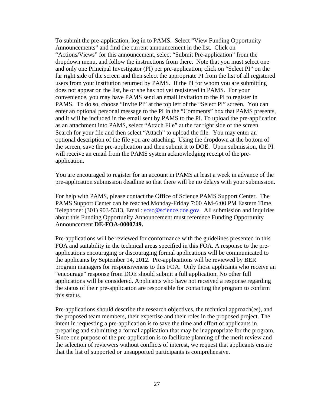To submit the pre-application, log in to PAMS. Select "View Funding Opportunity Announcements" and find the current announcement in the list. Click on "Actions/Views" for this announcement, select "Submit Pre-application" from the dropdown menu, and follow the instructions from there. Note that you must select one and only one Principal Investigator (PI) per pre-application; click on "Select PI" on the far right side of the screen and then select the appropriate PI from the list of all registered users from your institution returned by PAMS. If the PI for whom you are submitting does not appear on the list, he or she has not yet registered in PAMS. For your convenience, you may have PAMS send an email invitation to the PI to register in PAMS. To do so, choose "Invite PI" at the top left of the "Select PI" screen. You can enter an optional personal message to the PI in the "Comments" box that PAMS presents, and it will be included in the email sent by PAMS to the PI. To upload the pre-application as an attachment into PAMS, select "Attach File" at the far right side of the screen. Search for your file and then select "Attach" to upload the file. You may enter an optional description of the file you are attaching. Using the dropdown at the bottom of the screen, save the pre-application and then submit it to DOE. Upon submission, the PI will receive an email from the PAMS system acknowledging receipt of the preapplication.

You are encouraged to register for an account in PAMS at least a week in advance of the pre-application submission deadline so that there will be no delays with your submission.

For help with PAMS, please contact the Office of Science PAMS Support Center. The PAMS Support Center can be reached Monday-Friday 7:00 AM-6:00 PM Eastern Time. Telephone: (301) 903-5313, Email: scsc@science.doe.gov. All submission and inquiries about this Funding Opportunity Announcement must reference Funding Opportunity Announcement **DE-FOA-0000749.**

Pre-applications will be reviewed for conformance with the guidelines presented in this FOA and suitability in the technical areas specified in this FOA. A response to the preapplications encouraging or discouraging formal applications will be communicated to the applicants by September 14, 2012. Pre-applications will be reviewed by BER program managers for responsiveness to this FOA. Only those applicants who receive an "encourage" response from DOE should submit a full application. No other full applications will be considered. Applicants who have not received a response regarding the status of their pre-application are responsible for contacting the program to confirm this status.

Pre-applications should describe the research objectives, the technical approach(es), and the proposed team members, their expertise and their roles in the proposed project. The intent in requesting a pre-application is to save the time and effort of applicants in preparing and submitting a formal application that may be inappropriate for the program. Since one purpose of the pre-application is to facilitate planning of the merit review and the selection of reviewers without conflicts of interest, we request that applicants ensure that the list of supported or unsupported participants is comprehensive.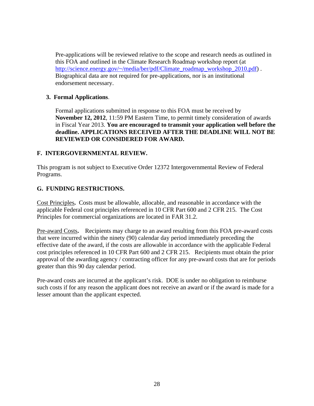Pre-applications will be reviewed relative to the scope and research needs as outlined in this FOA and outlined in the Climate Research Roadmap workshop report (at http://science.energy.gov/~/media/ber/pdf/Climate\_roadmap\_workshop\_2010.pdf). Biographical data are not required for pre-applications, nor is an institutional endorsement necessary.

# **3. Formal Applications**.

Formal applications submitted in response to this FOA must be received by **November 12, 2012**, 11:59 PM Eastern Time, to permit timely consideration of awards in Fiscal Year 2013. **You are encouraged to transmit your application well before the deadline. APPLICATIONS RECEIVED AFTER THE DEADLINE WILL NOT BE REVIEWED OR CONSIDERED FOR AWARD.** 

# **F. INTERGOVERNMENTAL REVIEW.**

This program is not subject to Executive Order 12372 Intergovernmental Review of Federal Programs.

# **G. FUNDING RESTRICTIONS.**

Cost Principles**.** Costs must be allowable, allocable, and reasonable in accordance with the applicable Federal cost principles referenced in 10 CFR Part 600 and 2 CFR 215. The Cost Principles for commercial organizations are located in FAR 31.2.

Pre-award Costs**.** Recipients may charge to an award resulting from this FOA pre-award costs that were incurred within the ninety (90) calendar day period immediately preceding the effective date of the award, if the costs are allowable in accordance with the applicable Federal cost principles referenced in 10 CFR Part 600 and 2 CFR 215. Recipients must obtain the prior approval of the awarding agency / contracting officer for any pre-award costs that are for periods greater than this 90 day calendar period.

Pre-award costs are incurred at the applicant's risk. DOE is under no obligation to reimburse such costs if for any reason the applicant does not receive an award or if the award is made for a lesser amount than the applicant expected.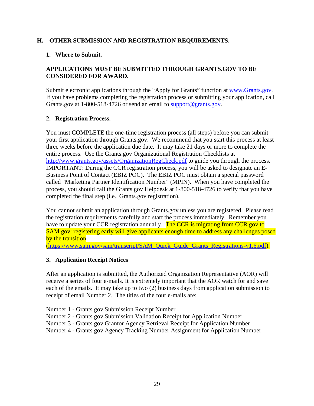# **H. OTHER SUBMISSION AND REGISTRATION REQUIREMENTS.**

# **1. Where to Submit.**

# **APPLICATIONS MUST BE SUBMITTED THROUGH GRANTS.GOV TO BE CONSIDERED FOR AWARD.**

Submit electronic applications through the "Apply for Grants" function at www.Grants.gov. If you have problems completing the registration process or submitting your application, call Grants.gov at 1-800-518-4726 or send an email to support@grants.gov.

# **2. Registration Process.**

You must COMPLETE the one-time registration process (all steps) before you can submit your first application through Grants.gov. We recommend that you start this process at least three weeks before the application due date. It may take 21 days or more to complete the entire process. Use the Grants.gov Organizational Registration Checklists at http://www.grants.gov/assets/OrganizationRegCheck.pdf to guide you through the process. IMPORTANT: During the CCR registration process, you will be asked to designate an E-Business Point of Contact (EBIZ POC). The EBIZ POC must obtain a special password called "Marketing Partner Identification Number" (MPIN). When you have completed the process, you should call the Grants.gov Helpdesk at 1-800-518-4726 to verify that you have completed the final step (i.e., Grants.gov registration).

You cannot submit an application through Grants.gov unless you are registered. Please read the registration requirements carefully and start the process immediately. Remember you have to update your CCR registration annually. The CCR is migrating from CCR gov to SAM.gov: registering early will give applicants enough time to address any challenges posed by the transition

(https://www.sam.gov/sam/transcript/SAM\_Quick\_Guide\_Grants\_Registrations-v1.6.pdf).

# **3. Application Receipt Notices**

After an application is submitted, the Authorized Organization Representative (AOR) will receive a series of four e-mails. It is extremely important that the AOR watch for and save each of the emails. It may take up to two (2) business days from application submission to receipt of email Number 2. The titles of the four e-mails are:

Number 1 - Grants.gov Submission Receipt Number

- Number 2 Grants.gov Submission Validation Receipt for Application Number
- Number 3 Grants.gov Grantor Agency Retrieval Receipt for Application Number
- Number 4 Grants.gov Agency Tracking Number Assignment for Application Number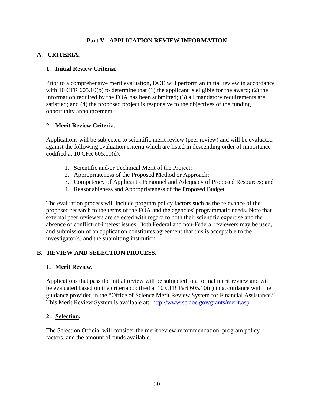# **Part V - APPLICATION REVIEW INFORMATION**

# **A. CRITERIA.**

# **1. Initial Review Criteria**.

Prior to a comprehensive merit evaluation, DOE will perform an initial review in accordance with 10 CFR 605.10(b) to determine that (1) the applicant is eligible for the award; (2) the information required by the FOA has been submitted; (3) all mandatory requirements are satisfied; and (4) the proposed project is responsive to the objectives of the funding opportunity announcement.

# **2. Merit Review Criteria.**

Applications will be subjected to scientific merit review (peer review) and will be evaluated against the following evaluation criteria which are listed in descending order of importance codified at 10 CFR 605.10(d):

- 1. Scientific and/or Technical Merit of the Project;
- 2. Appropriateness of the Proposed Method or Approach;
- 3. Competency of Applicant's Personnel and Adequacy of Proposed Resources; and
- 4. Reasonableness and Appropriateness of the Proposed Budget.

The evaluation process will include program policy factors such as the relevance of the proposed research to the terms of the FOA and the agencies' programmatic needs. Note that external peer reviewers are selected with regard to both their scientific expertise and the absence of conflict-of-interest issues. Both Federal and non-Federal reviewers may be used, and submission of an application constitutes agreement that this is acceptable to the investigator(s) and the submitting institution.

# **B. REVIEW AND SELECTION PROCESS.**

# **1. Merit Review.**

Applications that pass the initial review will be subjected to a formal merit review and will be evaluated based on the criteria codified at 10 CFR Part 605.10(d) in accordance with the guidance provided in the "Office of Science Merit Review System for Financial Assistance." This Merit Review System is available at: http://www.sc.doe.gov/grants/merit.asp.

# **2. Selection.**

The Selection Official will consider the merit review recommendation, program policy factors, and the amount of funds available.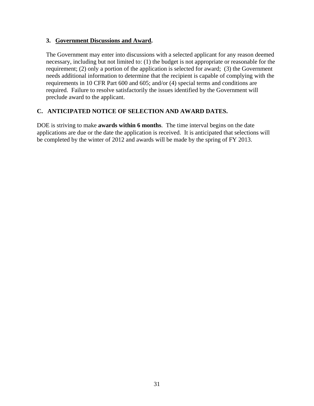### **3. Government Discussions and Award.**

The Government may enter into discussions with a selected applicant for any reason deemed necessary, including but not limited to: (1) the budget is not appropriate or reasonable for the requirement; (2) only a portion of the application is selected for award; (3) the Government needs additional information to determine that the recipient is capable of complying with the requirements in 10 CFR Part 600 and 605; and/or (4) special terms and conditions are required. Failure to resolve satisfactorily the issues identified by the Government will preclude award to the applicant.

# **C. ANTICIPATED NOTICE OF SELECTION AND AWARD DATES.**

DOE is striving to make **awards within 6 months**. The time interval begins on the date applications are due or the date the application is received. It is anticipated that selections will be completed by the winter of 2012 and awards will be made by the spring of FY 2013.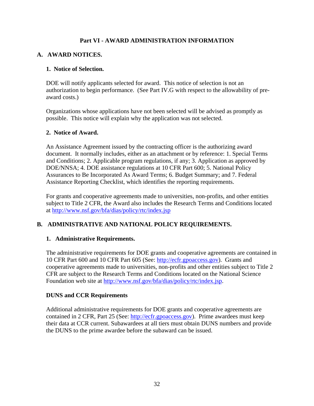# **Part VI - AWARD ADMINISTRATION INFORMATION**

# **A. AWARD NOTICES.**

## **1. Notice of Selection.**

DOE will notify applicants selected for award. This notice of selection is not an authorization to begin performance. (See Part IV.G with respect to the allowability of preaward costs.)

Organizations whose applications have not been selected will be advised as promptly as possible. This notice will explain why the application was not selected.

#### **2. Notice of Award.**

An Assistance Agreement issued by the contracting officer is the authorizing award document. It normally includes, either as an attachment or by reference: 1. Special Terms and Conditions; 2. Applicable program regulations, if any; 3. Application as approved by DOE/NNSA; 4. DOE assistance regulations at 10 CFR Part 600; 5. National Policy Assurances to Be Incorporated As Award Terms; 6. Budget Summary; and 7. Federal Assistance Reporting Checklist, which identifies the reporting requirements.

For grants and cooperative agreements made to universities, non-profits, and other entities subject to Title 2 CFR, the Award also includes the Research Terms and Conditions located at http://www.nsf.gov/bfa/dias/policy/rtc/index.jsp

# **B. ADMINISTRATIVE AND NATIONAL POLICY REQUIREMENTS.**

# **1. Administrative Requirements.**

The administrative requirements for DOE grants and cooperative agreements are contained in 10 CFR Part 600 and 10 CFR Part 605 (See: http://ecfr.gpoaccess.gov). Grants and cooperative agreements made to universities, non-profits and other entities subject to Title 2 CFR are subject to the Research Terms and Conditions located on the National Science Foundation web site at http://www.nsf.gov/bfa/dias/policy/rtc/index.jsp.

# **DUNS and CCR Requirements**

Additional administrative requirements for DOE grants and cooperative agreements are contained in 2 CFR, Part 25 (See: http://ecfr.gpoaccess.gov). Prime awardees must keep their data at CCR current. Subawardees at all tiers must obtain DUNS numbers and provide the DUNS to the prime awardee before the subaward can be issued.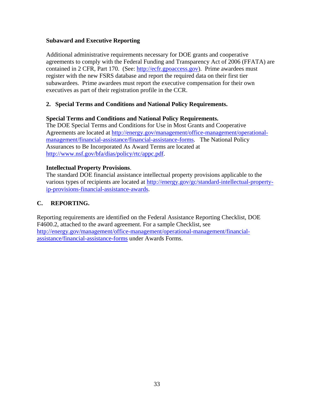### **Subaward and Executive Reporting**

Additional administrative requirements necessary for DOE grants and cooperative agreements to comply with the Federal Funding and Transparency Act of 2006 (FFATA) are contained in 2 CFR, Part 170. (See: http://ecfr.gpoaccess.gov). Prime awardees must register with the new FSRS database and report the required data on their first tier subawardees. Prime awardees must report the executive compensation for their own executives as part of their registration profile in the CCR.

# **2. Special Terms and Conditions and National Policy Requirements.**

#### **Special Terms and Conditions and National Policy Requirements.**

The DOE Special Terms and Conditions for Use in Most Grants and Cooperative Agreements are located at http://energy.gov/management/office-management/operationalmanagement/financial-assistance/financial-assistance-forms. The National Policy Assurances to Be Incorporated As Award Terms are located at http://www.nsf.gov/bfa/dias/policy/rtc/appc.pdf.

#### **Intellectual Property Provisions**.

The standard DOE financial assistance intellectual property provisions applicable to the various types of recipients are located at http://energy.gov/gc/standard-intellectual-propertyip-provisions-financial-assistance-awards.

# **C. REPORTING.**

Reporting requirements are identified on the Federal Assistance Reporting Checklist, DOE F4600.2, attached to the award agreement. For a sample Checklist, see http://energy.gov/management/office-management/operational-management/financialassistance/financial-assistance-forms under Awards Forms.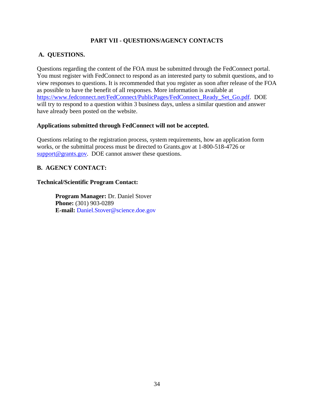# **PART VII - QUESTIONS/AGENCY CONTACTS**

# **A. QUESTIONS.**

Questions regarding the content of the FOA must be submitted through the FedConnect portal. You must register with FedConnect to respond as an interested party to submit questions, and to view responses to questions. It is recommended that you register as soon after release of the FOA as possible to have the benefit of all responses. More information is available at https://www.fedconnect.net/FedConnect/PublicPages/FedConnect\_Ready\_Set\_Go.pdf. DOE will try to respond to a question within 3 business days, unless a similar question and answer have already been posted on the website.

#### **Applications submitted through FedConnect will not be accepted.**

Questions relating to the registration process, system requirements, how an application form works, or the submittal process must be directed to Grants.gov at 1-800-518-4726 or support@grants.gov. DOE cannot answer these questions.

# **B. AGENCY CONTACT:**

#### **Technical/Scientific Program Contact:**

**Program Manager:** Dr. Daniel Stover **Phone:** (301) 903-0289 **E-mail:** Daniel.Stover@science.doe.gov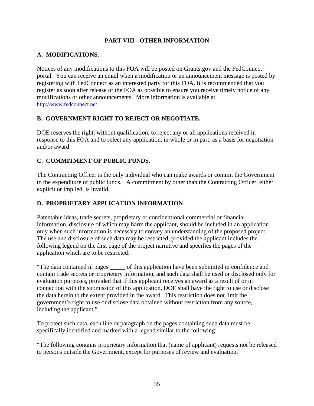# **PART VIII - OTHER INFORMATION**

# **A. MODIFICATIONS.**

Notices of any modifications to this FOA will be posted on Grants.gov and the FedConnect portal. You can receive an email when a modification or an announcement message is posted by registering with FedConnect as an interested party for this FOA. It is recommended that you register as soon after release of the FOA as possible to ensure you receive timely notice of any modifications or other announcements. More information is available at http://www.fedconnect.net.

# **B. GOVERNMENT RIGHT TO REJECT OR NEGOTIATE.**

DOE reserves the right, without qualification, to reject any or all applications received in response to this FOA and to select any application, in whole or in part, as a basis for negotiation and/or award.

# **C. COMMITMENT OF PUBLIC FUNDS.**

The Contracting Officer is the only individual who can make awards or commit the Government to the expenditure of public funds. A commitment by other than the Contracting Officer, either explicit or implied, is invalid.

# **D. PROPRIETARY APPLICATION INFORMATION**.

Patentable ideas, trade secrets, proprietary or confidentional commercial or financial information, disclosure of which may harm the applicant, should be included in an application only when such information is necessary to convey an understanding of the proposed project. The use and disclosure of such data may be restricted, provided the applicant includes the following legend on the first page of the project narrative and specifies the pages of the application which are to be restricted:

"The data contained in pages \_\_\_\_\_ of this application have been submitted in confidence and contain trade secrets or proprietary information, and such data shall be used or disclosed only for evaluation purposes, provided that if this applicant receives an award as a result of or in connection with the submission of this application, DOE shall have the right to use or disclose the data herein to the extent provided in the award. This restriction does not limit the government's right to use or disclose data obtained without restriction from any source, including the applicant."

To protect such data, each line or paragraph on the pages containing such data must be specifically identified and marked with a legend similar to the following:

"The following contains proprietary information that (name of applicant) requests not be released to persons outside the Government, except for purposes of review and evaluation."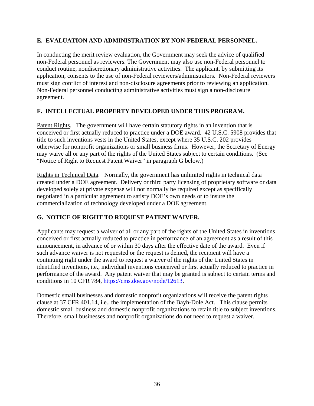# **E. EVALUATION AND ADMINISTRATION BY NON-FEDERAL PERSONNEL.**

In conducting the merit review evaluation, the Government may seek the advice of qualified non-Federal personnel as reviewers. The Government may also use non-Federal personnel to conduct routine, nondiscretionary administrative activities. The applicant, by submitting its application, consents to the use of non-Federal reviewers/administrators. Non-Federal reviewers must sign conflict of interest and non-disclosure agreements prior to reviewing an application. Non-Federal personnel conducting administrative activities must sign a non-disclosure agreement.

# **F. INTELLECTUAL PROPERTY DEVELOPED UNDER THIS PROGRAM.**

Patent Rights. The government will have certain statutory rights in an invention that is conceived or first actually reduced to practice under a DOE award. 42 U.S.C. 5908 provides that title to such inventions vests in the United States, except where 35 U.S.C. 202 provides otherwise for nonprofit organizations or small business firms. However, the Secretary of Energy may waive all or any part of the rights of the United States subject to certain conditions. (See "Notice of Right to Request Patent Waiver" in paragraph G below.)

Rights in Technical Data. Normally, the government has unlimited rights in technical data created under a DOE agreement. Delivery or third party licensing of proprietary software or data developed solely at private expense will not normally be required except as specifically negotiated in a particular agreement to satisfy DOE's own needs or to insure the commercialization of technology developed under a DOE agreement.

# **G. NOTICE OF RIGHT TO REQUEST PATENT WAIVER.**

Applicants may request a waiver of all or any part of the rights of the United States in inventions conceived or first actually reduced to practice in performance of an agreement as a result of this announcement, in advance of or within 30 days after the effective date of the award. Even if such advance waiver is not requested or the request is denied, the recipient will have a continuing right under the award to request a waiver of the rights of the United States in identified inventions, i.e., individual inventions conceived or first actually reduced to practice in performance of the award. Any patent waiver that may be granted is subject to certain terms and conditions in 10 CFR 784, https://cms.doe.gov/node/12613.

Domestic small businesses and domestic nonprofit organizations will receive the patent rights clause at 37 CFR 401.14, i.e., the implementation of the Bayh-Dole Act. This clause permits domestic small business and domestic nonprofit organizations to retain title to subject inventions. Therefore, small businesses and nonprofit organizations do not need to request a waiver.